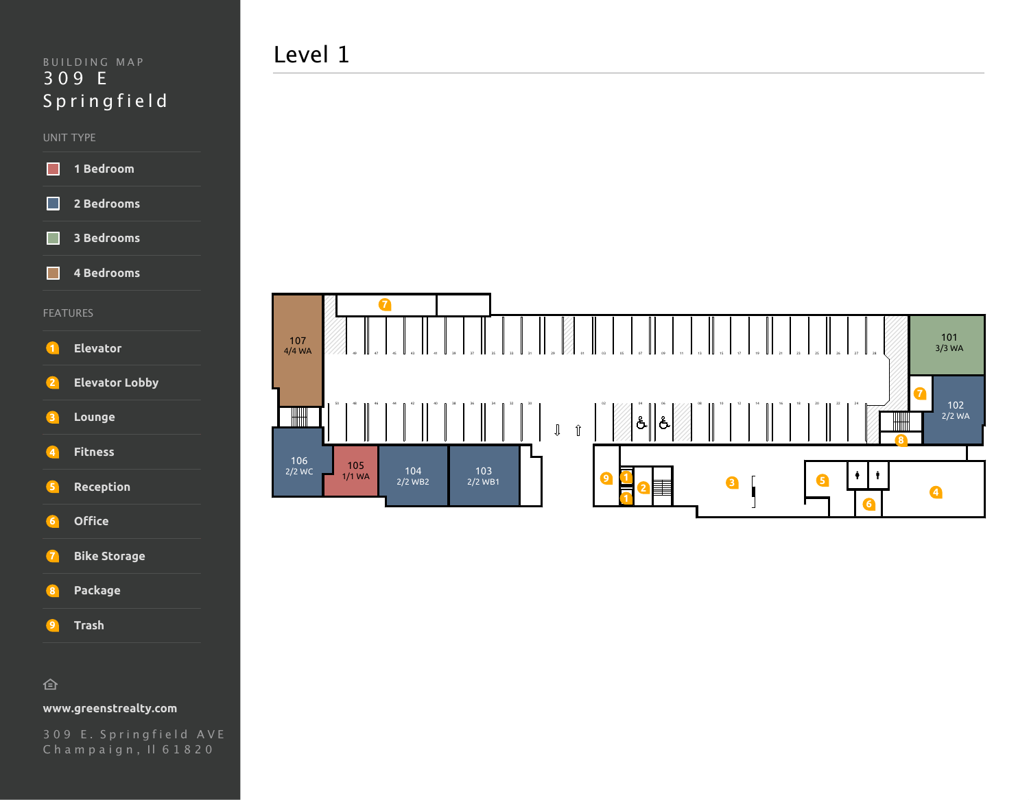#### UNIT TYPE



**4 Bedrooms** п

#### FEATURES



- **2 Elevator Lobby**
- **3 Lounge**
- **4 Fitness**
- **5 Reception**
- **6 Office**
- **7 Bike Storage**
- **8 Package**
- **9 Trash**

### 仓

### **www.greenstrealty.com**

309 E . Springfield AVE Champaign, Il 61820

# Level 1

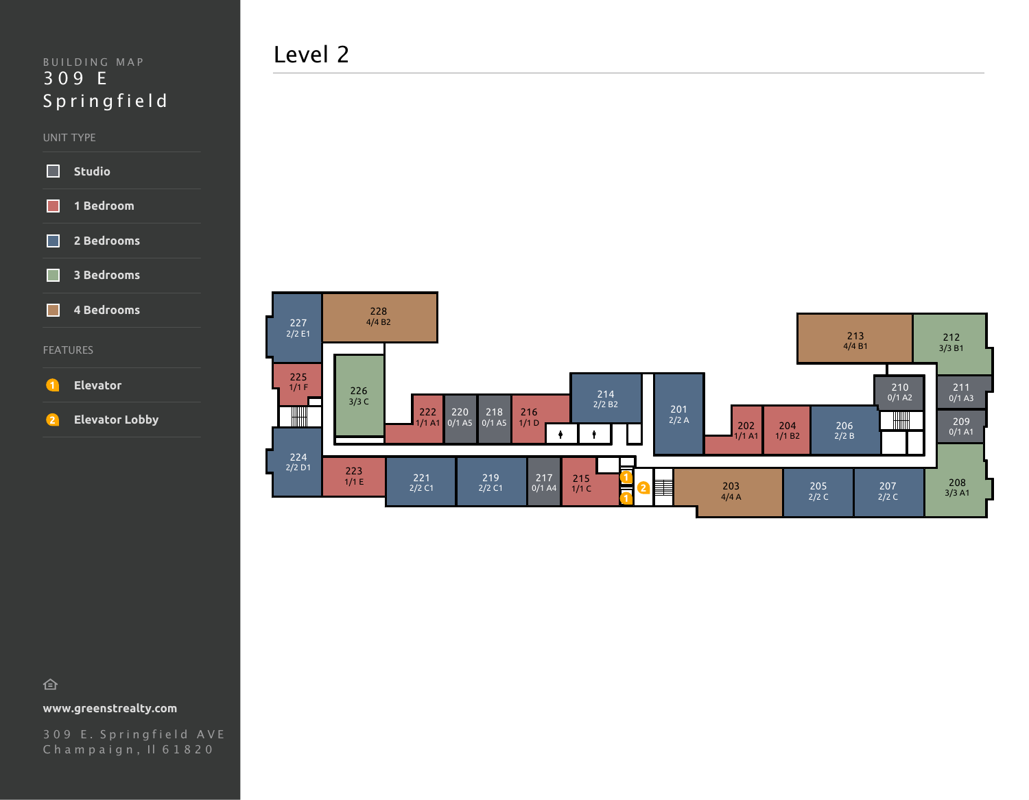#### UNIT TYPE



## FEATURES

П

### **1 Elevator**

```
2 Elevator Lobby
```
Level 2



## 仓

**www.greenstrealty.com**

309 E . Springfield AVE Champaign, Il 61820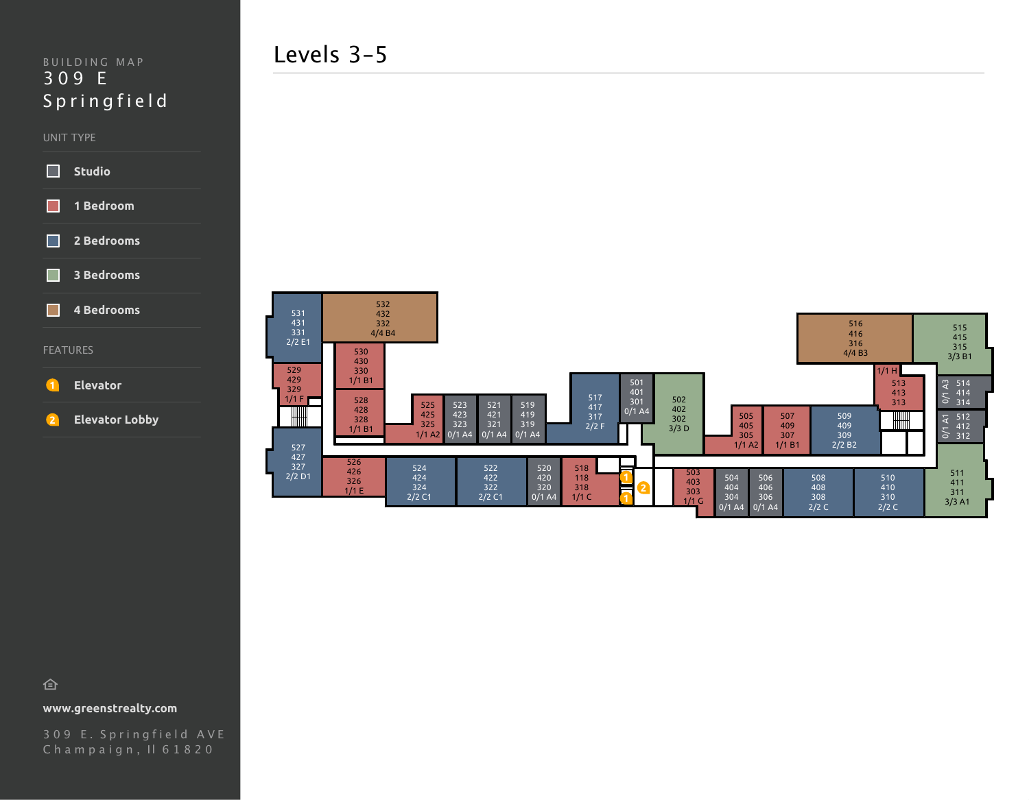#### UNIT TYPE



**4 Bedrooms**

#### FEATURES

**1 Elevator**

**2 Elevator Lobby**



仓

**www.greenstrealty.com**

309 E . Springfield AVE Champaign, Il 61820

Levels 3-5